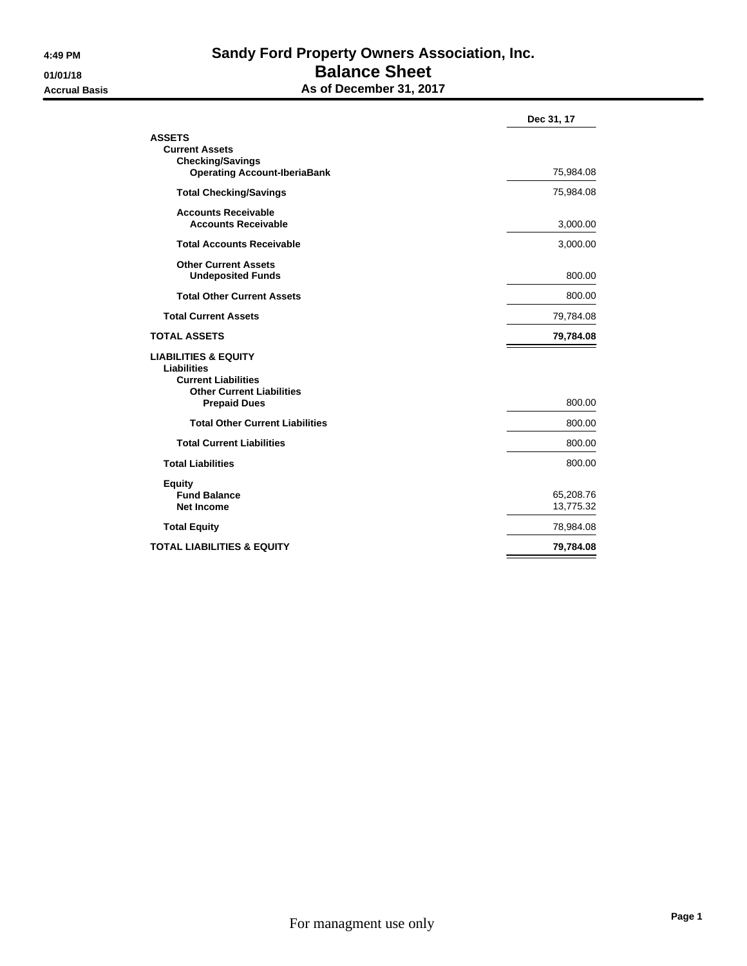## **4:49 PM Sandy Ford Property Owners Association, Inc. 01/01/18 Balance Sheet Accrual Basis As of December 31, 2017**

| Dec 31, 17             |
|------------------------|
| 75,984.08              |
| 75,984.08              |
| 3,000.00               |
| 3,000.00               |
| 800.00                 |
| 800.00                 |
| 79,784.08              |
| 79,784.08              |
| 800.00                 |
| 800.00                 |
| 800.00                 |
| 800.00                 |
| 65,208.76<br>13,775.32 |
| 78,984.08              |
| 79,784.08              |
|                        |